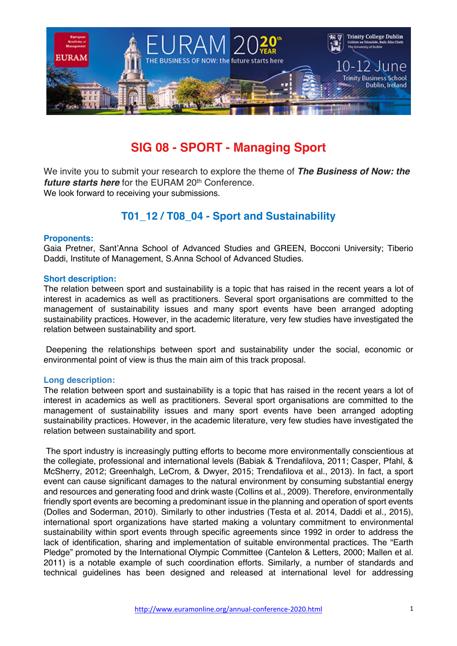

# **SIG 08 - SPORT - Managing Sport**

We invite you to submit your research to explore the theme of *The Business of Now: the future starts here* for the EURAM 20<sup>th</sup> Conference. We look forward to receiving your submissions.

# **T01\_12 / T08\_04 - Sport and Sustainability**

## **Proponents:**

Gaia Pretner, Sant'Anna School of Advanced Studies and GREEN, Bocconi University; Tiberio Daddi, Institute of Management, S.Anna School of Advanced Studies.

#### **Short description:**

The relation between sport and sustainability is a topic that has raised in the recent years a lot of interest in academics as well as practitioners. Several sport organisations are committed to the management of sustainability issues and many sport events have been arranged adopting sustainability practices. However, in the academic literature, very few studies have investigated the relation between sustainability and sport.

Deepening the relationships between sport and sustainability under the social, economic or environmental point of view is thus the main aim of this track proposal.

## **Long description:**

The relation between sport and sustainability is a topic that has raised in the recent years a lot of interest in academics as well as practitioners. Several sport organisations are committed to the management of sustainability issues and many sport events have been arranged adopting sustainability practices. However, in the academic literature, very few studies have investigated the relation between sustainability and sport.

The sport industry is increasingly putting efforts to become more environmentally conscientious at the collegiate, professional and international levels (Babiak & Trendafilova, 2011; Casper, Pfahl, & McSherry, 2012; Greenhalgh, LeCrom, & Dwyer, 2015; Trendafilova et al., 2013). In fact, a sport event can cause significant damages to the natural environment by consuming substantial energy and resources and generating food and drink waste (Collins et al., 2009). Therefore, environmentally friendly sport events are becoming a predominant issue in the planning and operation of sport events (Dolles and Soderman, 2010). Similarly to other industries (Testa et al. 2014, Daddi et al., 2015), international sport organizations have started making a voluntary commitment to environmental sustainability within sport events through specific agreements since 1992 in order to address the lack of identification, sharing and implementation of suitable environmental practices. The "Earth Pledge" promoted by the International Olympic Committee (Cantelon & Letters, 2000; Mallen et al. 2011) is a notable example of such coordination efforts. Similarly, a number of standards and technical guidelines has been designed and released at international level for addressing